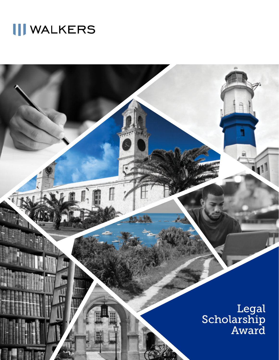# **III WALKERS**

Legal Scholarship Award

 $\mathbb{R}$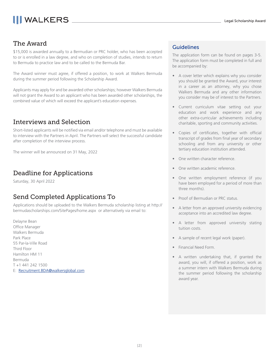## **III WALKERS**

## The Award

\$15,000 is awarded annually to a Bermudian or PRC holder, who has been accepted to or is enrolled in a law degree, and who on completion of studies, intends to return to Bermuda to practice law and to be called to the Bermuda Bar.

The Award winner must agree, if offered a position, to work at Walkers Bermuda during the summer period following the Scholarship Award.

Applicants may apply for and be awarded other scholarships; however Walkers Bermuda will not grant the Award to an applicant who has been awarded other scholarships, the combined value of which will exceed the applicant's education expenses.

### Interviews and Selection

Short-listed applicants will be notified via email and/or telephone and must be available to interview with the Partners in April. The Partners will select the successful candidate after completion of the interview process.

The winner will be announced on 31 May, 2022

### Deadline for Applications

Saturday, 30 April 2022

### Send Completed Applications To

Applications should be uploaded to the Walkers Bermuda scholarship listing at http:// bermudascholarships.com/SitePages/home.aspx or alternatively via email to:

Delayne Bean Office Manager Walkers Bermuda Park Place 55 Par-la-Ville Road Third Floor Hamilton HM 11 Bermuda T +1 441 242 1500 E: Recruitment.BDA@walkersglobal.com

#### Guidelines

The application form can be found on pages 3-5. The application form must be completed in full and be accompanied by:

- A cover letter which explains why you consider you should be granted the Award, your interest in a career as an attorney, why you chose Walkers Bermuda and any other information you consider may be of interest to the Partners.
- Current curriculum vitae setting out your education and work experience and any other extra-curricular achievements including charitable, sporting and community activities.
- Copies of certificates, together with official transcript of grades from final year of secondary schooling and from any university or other tertiary education institution attended.
- One written character reference.
- One written academic reference.
- One written employment reference (if you have been employed for a period of more than three months).
- Proof of Bermudian or PRC status.
- A letter from an approved university evidencing acceptance into an accredited law degree.
- A letter from approved university stating tuition costs.
- A sample of recent legal work (paper).
- Financial Need Form.
- A written undertaking that, if granted the award, you will, if offered a position, work as a summer intern with Walkers Bermuda during the summer period following the scholarship award year.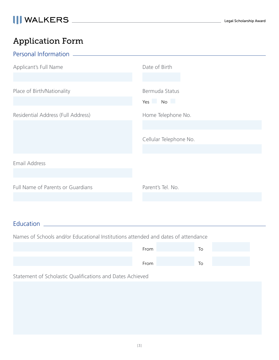## Application Form

| Personal Information               |                        |  |
|------------------------------------|------------------------|--|
| Applicant's Full Name              | Date of Birth          |  |
|                                    |                        |  |
| Place of Birth/Nationality         | Bermuda Status         |  |
|                                    | Yes No                 |  |
| Residential Address (Full Address) | Home Telephone No.     |  |
|                                    |                        |  |
|                                    | Cellular Telephone No. |  |
|                                    |                        |  |
| Email Address                      |                        |  |
|                                    |                        |  |
| Full Name of Parents or Guardians  | Parent's Tel. No.      |  |
|                                    |                        |  |

## Education

Names of Schools and/or Educational Institutions attended and dates of attendance

| From | To |  |
|------|----|--|
| From | lo |  |

Statement of Scholastic Qualifications and Dates Achieved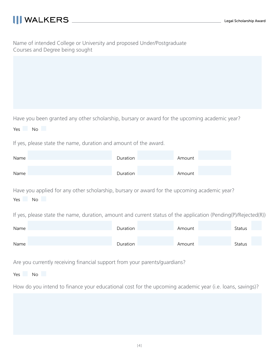| Name of intended College or University and proposed Under/Postgraduate |  |
|------------------------------------------------------------------------|--|
| Courses and Degree being sought                                        |  |

Have you been granted any other scholarship, bursary or award for the upcoming academic year?

| Yes. | Νo |  |
|------|----|--|

If yes, please state the name, duration and amount of the award.

| Name | Duration | Amount |
|------|----------|--------|
|      |          |        |
| Name | Duration | Amount |

Have you applied for any other scholarship, bursary or award for the upcoming academic year? Yes No

If yes, please state the name, duration, amount and current status of the application (Pending(P)/Rejected(R))

| Name | Duration | Amount | <b>Status</b> |
|------|----------|--------|---------------|
| Name | Duration | Amount | <b>Status</b> |

Are you currently receiving financial support from your parents/guardians?

Yes No

How do you intend to finance your educational cost for the upcoming academic year (i.e. loans, savings)?